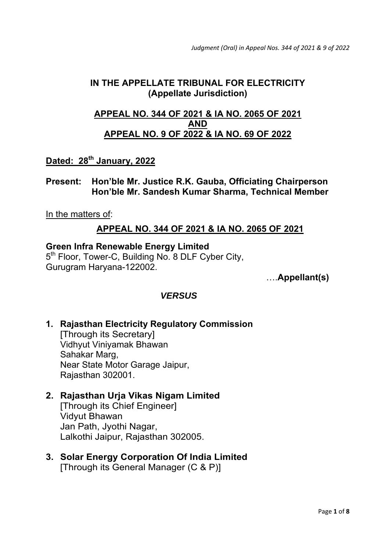*Judgment (Oral) in Appeal Nos. 344 of 2021 & 9 of 2022*

## **IN THE APPELLATE TRIBUNAL FOR ELECTRICITY (Appellate Jurisdiction)**

## **APPEAL NO. 344 OF 2021 & IA NO. 2065 OF 2021 AND APPEAL NO. 9 OF 2022 & IA NO. 69 OF 2022**

## **Dated: 28th January, 2022**

**Present: Hon'ble Mr. Justice R.K. Gauba, Officiating Chairperson Hon'ble Mr. Sandesh Kumar Sharma, Technical Member** 

In the matters of:

## **APPEAL NO. 344 OF 2021 & IA NO. 2065 OF 2021**

#### **Green Infra Renewable Energy Limited**

5<sup>th</sup> Floor, Tower-C, Building No. 8 DLF Cyber City, Gurugram Haryana-122002.

….**Appellant(s)** 

#### *VERSUS*

**1. Rajasthan Electricity Regulatory Commission**  [Through its Secretary] Vidhyut Viniyamak Bhawan Sahakar Marg, Near State Motor Garage Jaipur, Rajasthan 302001.

## **2. Rajasthan Urja Vikas Nigam Limited**

 [Through its Chief Engineer] Vidyut Bhawan Jan Path, Jyothi Nagar, Lalkothi Jaipur, Rajasthan 302005.

**3. Solar Energy Corporation Of India Limited**  [Through its General Manager (C & P)]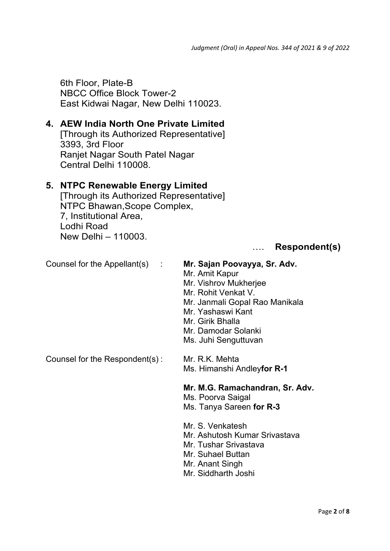6th Floor, Plate-B NBCC Office Block Tower-2 East Kidwai Nagar, New Delhi 110023.

### **4. AEW India North One Private Limited**

 [Through its Authorized Representative] 3393, 3rd Floor Ranjet Nagar South Patel Nagar Central Delhi 110008.

### **5. NTPC Renewable Energy Limited**

 [Through its Authorized Representative] NTPC Bhawan,Scope Complex, 7, Institutional Area, Lodhi Road New Delhi – 110003.

#### …. **Respondent(s)**

## Counsel for the Appellant(s) : **Mr. Sajan Poovayya, Sr. Adv.**

- Mr. Amit Kapur
- Mr. Vishrov Mukherjee
- Mr. Rohit Venkat V.
- Mr. Janmali Gopal Rao Manikala
- Mr. Yashaswi Kant
- Mr. Girik Bhalla
- Mr. Damodar Solanki
- Ms. Juhi Senguttuvan

Counsel for the Respondent(s): Mr. R.K. Mehta

Ms. Himanshi Andley**for R-1**

#### **Mr. M.G. Ramachandran, Sr. Adv.**

Ms. Poorva Saigal

- Ms. Tanya Sareen **for R-3**
- Mr. S. Venkatesh
- Mr. Ashutosh Kumar Srivastava
- Mr. Tushar Srivastava
- Mr. Suhael Buttan
- Mr. Anant Singh
- Mr. Siddharth Joshi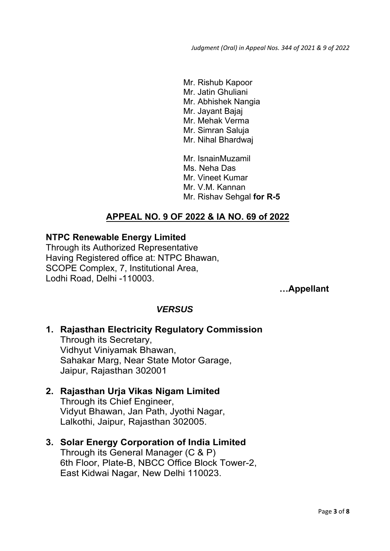Mr. Rishub Kapoor Mr. Jatin Ghuliani Mr. Abhishek Nangia Mr. Jayant Bajaj Mr. Mehak Verma Mr. Simran Saluja Mr. Nihal Bhardwaj Mr. IsnainMuzamil Ms. Neha Das Mr. Vineet Kumar Mr. V.M. Kannan

Mr. Rishav Sehgal **for R-5**

## **APPEAL NO. 9 OF 2022 & IA NO. 69 of 2022**

#### **NTPC Renewable Energy Limited**

Through its Authorized Representative Having Registered office at: NTPC Bhawan, SCOPE Complex, 7, Institutional Area, Lodhi Road, Delhi -110003.

 **…Appellant** 

## *VERSUS*

# **1. Rajasthan Electricity Regulatory Commission**

 Through its Secretary, Vidhyut Viniyamak Bhawan, Sahakar Marg, Near State Motor Garage, Jaipur, Rajasthan 302001

#### **2. Rajasthan Urja Vikas Nigam Limited**

 Through its Chief Engineer, Vidyut Bhawan, Jan Path, Jyothi Nagar, Lalkothi, Jaipur, Rajasthan 302005.

## **3. Solar Energy Corporation of India Limited**

 Through its General Manager (C & P) 6th Floor, Plate-B, NBCC Office Block Tower-2, East Kidwai Nagar, New Delhi 110023.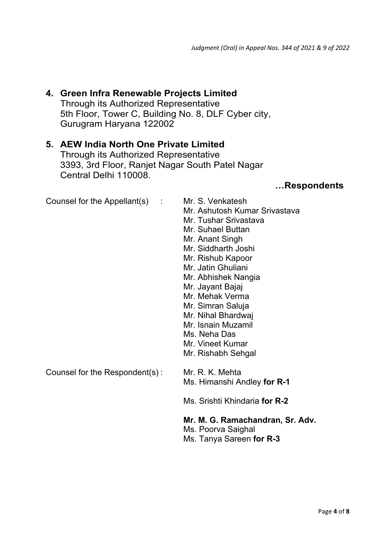## **4. Green Infra Renewable Projects Limited**  Through its Authorized Representative 5th Floor, Tower C, Building No. 8, DLF Cyber city,

Gurugram Haryana 122002

#### **5. AEW India North One Private Limited**

 Through its Authorized Representative 3393, 3rd Floor, Ranjet Nagar South Patel Nagar Central Delhi 110008.

#### **…Respondents**

| Counsel for the Appellant(s)<br>÷ | Mr. S. Venkatesh<br>Mr. Ashutosh Kumar Srivastava<br>Mr. Tushar Srivastava<br>Mr. Suhael Buttan<br>Mr. Anant Singh<br>Mr. Siddharth Joshi<br>Mr. Rishub Kapoor<br>Mr. Jatin Ghuliani<br>Mr. Abhishek Nangia<br>Mr. Jayant Bajaj<br>Mr. Mehak Verma<br>Mr. Simran Saluja<br>Mr. Nihal Bhardwaj<br>Mr. Isnain Muzamil<br>Ms. Neha Das<br>Mr. Vineet Kumar<br>Mr. Rishabh Sehgal |
|-----------------------------------|-------------------------------------------------------------------------------------------------------------------------------------------------------------------------------------------------------------------------------------------------------------------------------------------------------------------------------------------------------------------------------|
| Counsel for the Respondent(s):    | Mr. R. K. Mehta<br>Ms. Himanshi Andley for R-1                                                                                                                                                                                                                                                                                                                                |
|                                   | Ms. Srishti Khindaria for R-2                                                                                                                                                                                                                                                                                                                                                 |
|                                   | Mr. M. G. Ramachandran, Sr. Adv.<br>Ms. Poorva Saighal                                                                                                                                                                                                                                                                                                                        |

Ms. Tanya Sareen **for R-3**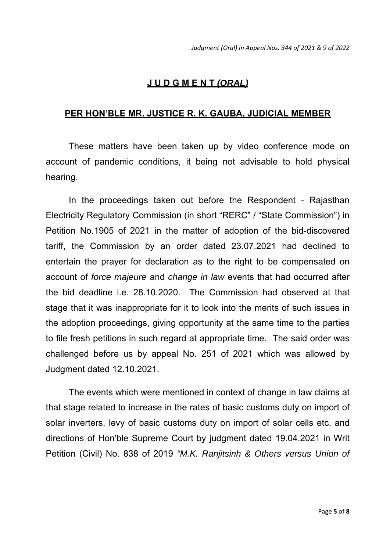## **J U D G M E N T** *(ORAL)*

### **PER HON'BLE MR. JUSTICE R. K. GAUBA, JUDICIAL MEMBER**

These matters have been taken up by video conference mode on account of pandemic conditions, it being not advisable to hold physical hearing.

 In the proceedings taken out before the Respondent - Rajasthan Electricity Regulatory Commission (in short "RERC" / "State Commission") in Petition No.1905 of 2021 in the matter of adoption of the bid-discovered tariff, the Commission by an order dated 23.07.2021 had declined to entertain the prayer for declaration as to the right to be compensated on account of *force majeure* and *change in law* events that had occurred after the bid deadline i.e. 28.10.2020. The Commission had observed at that stage that it was inappropriate for it to look into the merits of such issues in the adoption proceedings, giving opportunity at the same time to the parties to file fresh petitions in such regard at appropriate time. The said order was challenged before us by appeal No. 251 of 2021 which was allowed by Judgment dated 12.10.2021.

 The events which were mentioned in context of change in law claims at that stage related to increase in the rates of basic customs duty on import of solar inverters, levy of basic customs duty on import of solar cells etc. and directions of Hon'ble Supreme Court by judgment dated 19.04.2021 in Writ Petition (Civil) No. 838 of 2019 *"M.K. Ranjitsinh & Others versus Union of*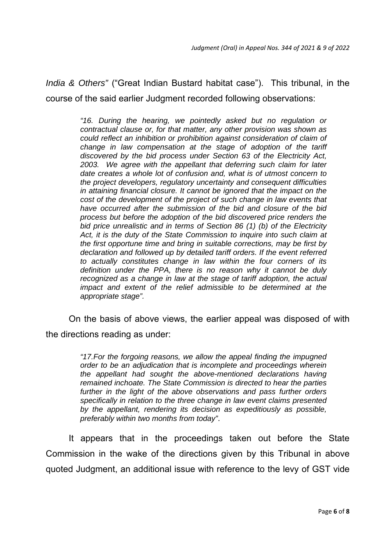*India & Others"* ("Great Indian Bustard habitat case"). This tribunal, in the course of the said earlier Judgment recorded following observations:

> *"16. During the hearing, we pointedly asked but no regulation or contractual clause or, for that matter, any other provision was shown as could reflect an inhibition or prohibition against consideration of claim of change in law compensation at the stage of adoption of the tariff discovered by the bid process under Section 63 of the Electricity Act, 2003. We agree with the appellant that deferring such claim for later date creates a whole lot of confusion and, what is of utmost concern to the project developers, regulatory uncertainty and consequent difficulties in attaining financial closure. It cannot be ignored that the impact on the cost of the development of the project of such change in law events that have occurred after the submission of the bid and closure of the bid process but before the adoption of the bid discovered price renders the bid price unrealistic and in terms of Section 86 (1) (b) of the Electricity Act, it is the duty of the State Commission to inquire into such claim at the first opportune time and bring in suitable corrections, may be first by declaration and followed up by detailed tariff orders. If the event referred to actually constitutes change in law within the four corners of its definition under the PPA, there is no reason why it cannot be duly recognized as a change in law at the stage of tariff adoption, the actual impact and extent of the relief admissible to be determined at the appropriate stage".*

 On the basis of above views, the earlier appeal was disposed of with the directions reading as under:

> *"17.For the forgoing reasons, we allow the appeal finding the impugned order to be an adjudication that is incomplete and proceedings wherein the appellant had sought the above-mentioned declarations having remained inchoate. The State Commission is directed to hear the parties further in the light of the above observations and pass further orders specifically in relation to the three change in law event claims presented by the appellant, rendering its decision as expeditiously as possible, preferably within two months from today"*.

 It appears that in the proceedings taken out before the State Commission in the wake of the directions given by this Tribunal in above quoted Judgment, an additional issue with reference to the levy of GST vide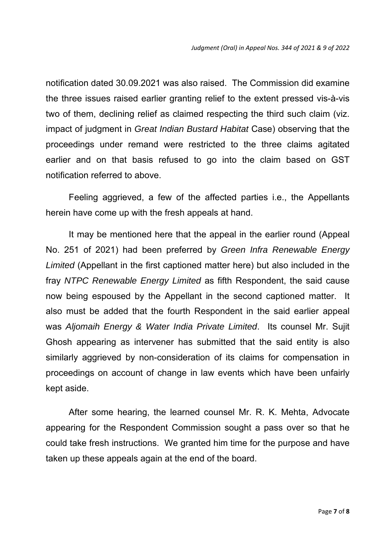notification dated 30.09.2021 was also raised. The Commission did examine the three issues raised earlier granting relief to the extent pressed vis-à-vis two of them, declining relief as claimed respecting the third such claim (viz. impact of judgment in *Great Indian Bustard Habitat* Case) observing that the proceedings under remand were restricted to the three claims agitated earlier and on that basis refused to go into the claim based on GST notification referred to above.

 Feeling aggrieved, a few of the affected parties i.e., the Appellants herein have come up with the fresh appeals at hand.

 It may be mentioned here that the appeal in the earlier round (Appeal No. 251 of 2021) had been preferred by *Green Infra Renewable Energy Limited* (Appellant in the first captioned matter here) but also included in the fray *NTPC Renewable Energy Limited* as fifth Respondent, the said cause now being espoused by the Appellant in the second captioned matter. It also must be added that the fourth Respondent in the said earlier appeal was *Aljomaih Energy & Water India Private Limited*. Its counsel Mr. Sujit Ghosh appearing as intervener has submitted that the said entity is also similarly aggrieved by non-consideration of its claims for compensation in proceedings on account of change in law events which have been unfairly kept aside.

 After some hearing, the learned counsel Mr. R. K. Mehta, Advocate appearing for the Respondent Commission sought a pass over so that he could take fresh instructions. We granted him time for the purpose and have taken up these appeals again at the end of the board.